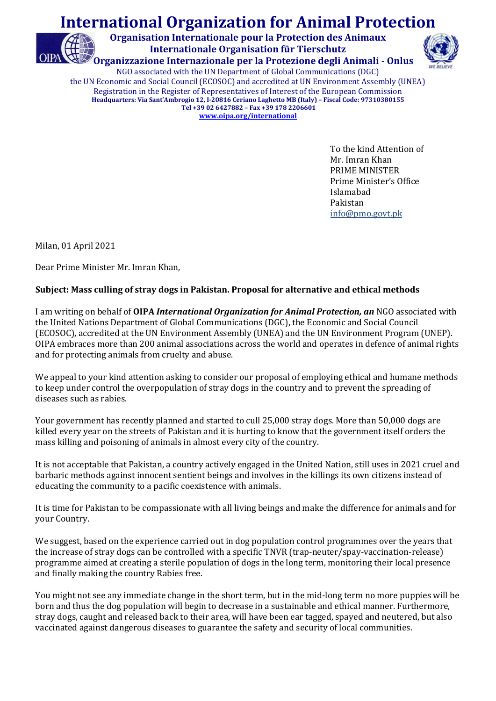## International Organization for Animal Protection

Organisation Internationale pour la Protection des Animaux Internationale Organisation für Tierschutz Organizzazione Internazionale per la Protezione degli Animali - Onlus



NGO associated with the UN Department of Global Communications (DGC) the UN Economic and Social Council (ECOSOC) and accredited at UN Environment Assembly (UNEA) Registration in the Register of Representatives of Interest of the European Commission Headquarters: Via Sant'Ambrogio 12, I-20816 Ceriano Laghetto MB (Italy) – Fiscal Code: 97310380155 Tel +39 02 6427882 – Fax +39 178 2206601 www.oipa.org/international

> To the kind Attention of Mr. Imran Khan PRIME MINISTER Prime Minister's Office Islamabad Pakistan info@pmo.govt.pk

Milan, 01 April 2021

Dear Prime Minister Mr. Imran Khan,

## Subject: Mass culling of stray dogs in Pakistan. Proposal for alternative and ethical methods

I am writing on behalf of OIPA International Organization for Animal Protection, an NGO associated with the United Nations Department of Global Communications (DGC), the Economic and Social Council (ECOSOC), accredited at the UN Environment Assembly (UNEA) and the UN Environment Program (UNEP). OIPA embraces more than 200 animal associations across the world and operates in defence of animal rights and for protecting animals from cruelty and abuse.

We appeal to your kind attention asking to consider our proposal of employing ethical and humane methods to keep under control the overpopulation of stray dogs in the country and to prevent the spreading of diseases such as rabies.

Your government has recently planned and started to cull 25,000 stray dogs. More than 50,000 dogs are killed every year on the streets of Pakistan and it is hurting to know that the government itself orders the mass killing and poisoning of animals in almost every city of the country.

It is not acceptable that Pakistan, a country actively engaged in the United Nation, still uses in 2021 cruel and barbaric methods against innocent sentient beings and involves in the killings its own citizens instead of educating the community to a pacific coexistence with animals.

It is time for Pakistan to be compassionate with all living beings and make the difference for animals and for your Country.

We suggest, based on the experience carried out in dog population control programmes over the years that the increase of stray dogs can be controlled with a specific TNVR (trap-neuter/spay-vaccination-release) programme aimed at creating a sterile population of dogs in the long term, monitoring their local presence and finally making the country Rabies free.

You might not see any immediate change in the short term, but in the mid-long term no more puppies will be born and thus the dog population will begin to decrease in a sustainable and ethical manner. Furthermore, stray dogs, caught and released back to their area, will have been ear tagged, spayed and neutered, but also vaccinated against dangerous diseases to guarantee the safety and security of local communities.